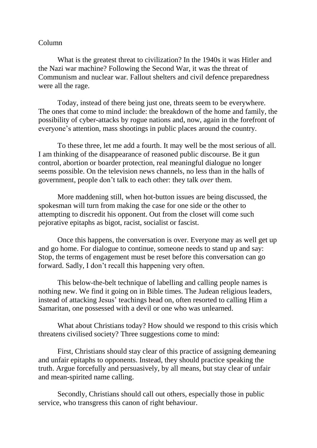## Column

What is the greatest threat to civilization? In the 1940s it was Hitler and the Nazi war machine? Following the Second War, it was the threat of Communism and nuclear war. Fallout shelters and civil defence preparedness were all the rage.

Today, instead of there being just one, threats seem to be everywhere. The ones that come to mind include: the breakdown of the home and family, the possibility of cyber-attacks by rogue nations and, now, again in the forefront of everyone's attention, mass shootings in public places around the country.

To these three, let me add a fourth. It may well be the most serious of all. I am thinking of the disappearance of reasoned public discourse. Be it gun control, abortion or boarder protection, real meaningful dialogue no longer seems possible. On the television news channels, no less than in the halls of government, people don't talk to each other: they talk *over* them.

More maddening still, when hot-button issues are being discussed, the spokesman will turn from making the case for one side or the other to attempting to discredit his opponent. Out from the closet will come such pejorative epitaphs as bigot, racist, socialist or fascist.

Once this happens, the conversation is over. Everyone may as well get up and go home. For dialogue to continue, someone needs to stand up and say: Stop, the terms of engagement must be reset before this conversation can go forward. Sadly, I don't recall this happening very often.

This below-the-belt technique of labelling and calling people names is nothing new. We find it going on in Bible times. The Judean religious leaders, instead of attacking Jesus' teachings head on, often resorted to calling Him a Samaritan, one possessed with a devil or one who was unlearned.

What about Christians today? How should we respond to this crisis which threatens civilised society? Three suggestions come to mind:

First, Christians should stay clear of this practice of assigning demeaning and unfair epitaphs to opponents. Instead, they should practice speaking the truth. Argue forcefully and persuasively, by all means, but stay clear of unfair and mean-spirited name calling.

Secondly, Christians should call out others, especially those in public service, who transgress this canon of right behaviour.